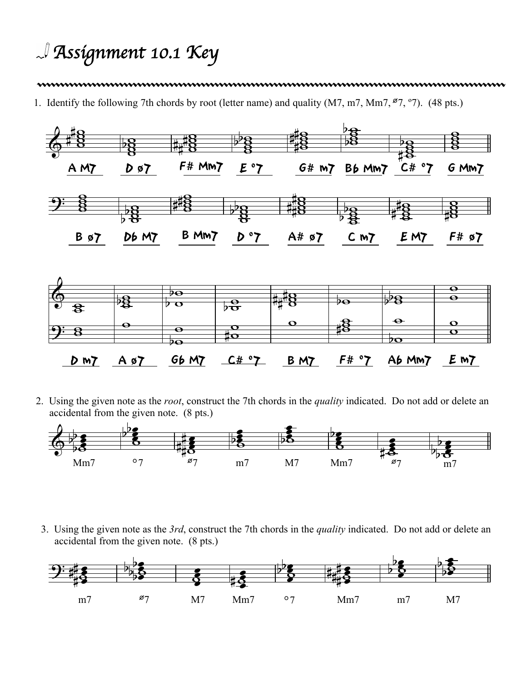## *Assignment 10.1 Key*

## 

1. Identify the following 7th chords by root (letter name) and quality (M7, m7, Mm7, Ø7, º7). (48 pts.)



2. Using the given note as the *root*, construct the 7th chords in the *quality* indicated. Do not add or delete an accidental from the given note. (8 pts.)



3. Using the given note as the *3rd*, construct the 7th chords in the *quality* indicated. Do not add or delete an accidental from the given note. (8 pts.)